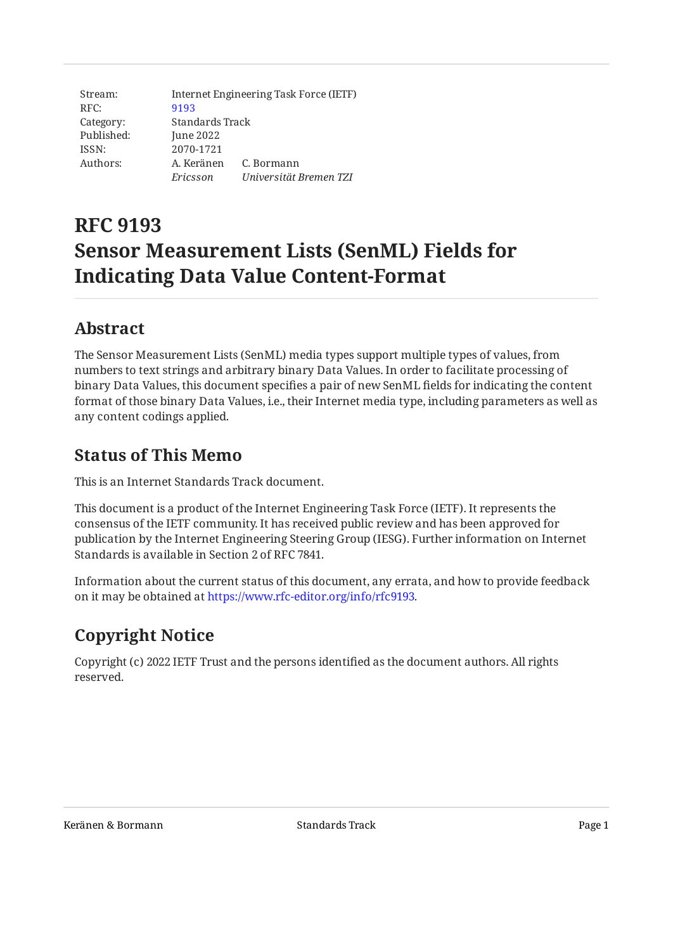Stream: RFC: Category: Published: ISSN: Authors: Internet Engineering Task Force (IETF) [9193](https://www.rfc-editor.org/rfc/rfc9193) Standards Track June 2022 2070-1721 A. Keränen C. Bormann *Ericsson Universität Bremen TZI*

# **RFC 9193 Sensor Measurement Lists (SenML) Fields for Indicating Data Value Content-Format**

## <span id="page-0-0"></span>**[Abstract](#page-0-0)**

The Sensor Measurement Lists (SenML) media types support multiple types of values, from numbers to text strings and arbitrary binary Data Values. In order to facilitate processing of binary Data Values, this document specifies a pair of new SenML fields for indicating the content format of those binary Data Values, i.e., their Internet media type, including parameters as well as any content codings applied.

## <span id="page-0-1"></span>**[Status of This Memo](#page-0-1)**

This is an Internet Standards Track document.

This document is a product of the Internet Engineering Task Force (IETF). It represents the consensus of the IETF community. It has received public review and has been approved for publication by the Internet Engineering Steering Group (IESG). Further information on Internet Standards is available in Section 2 of RFC 7841.

Information about the current status of this document, any errata, and how to provide feedback on it may be obtained at [https://www.rfc-editor.org/info/rfc9193.](https://www.rfc-editor.org/info/rfc9193)

# <span id="page-0-2"></span>**[Copyright Notice](#page-0-2)**

Copyright (c) 2022 IETF Trust and the persons identified as the document authors. All rights reserved.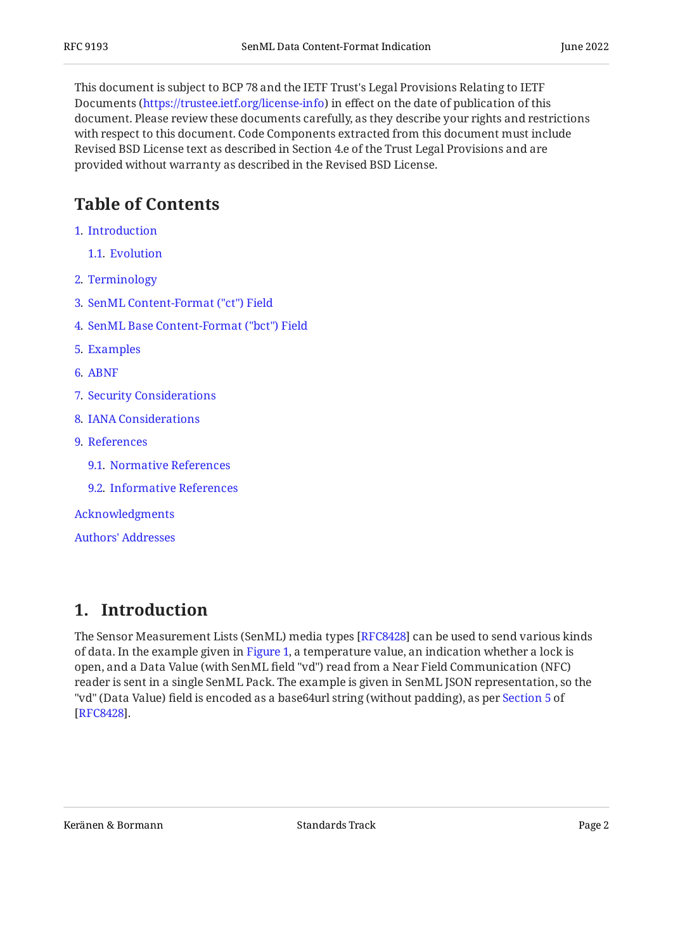This document is subject to BCP 78 and the IETF Trust's Legal Provisions Relating to IETF Documents (<https://trustee.ietf.org/license-info>) in effect on the date of publication of this document. Please review these documents carefully, as they describe your rights and restrictions with respect to this document. Code Components extracted from this document must include Revised BSD License text as described in Section 4.e of the Trust Legal Provisions and are provided without warranty as described in the Revised BSD License.

# <span id="page-1-0"></span>**[Table of Contents](#page-1-0)**

- [1](#page-1-1). [Introduction](#page-1-1)
	- [1.1.](#page-3-0) [Evolution](#page-3-0)
- [2](#page-3-1). [Terminology](#page-3-1)
- [3](#page-4-0). [SenML Content-Format \("ct"\) Field](#page-4-0)
- [4](#page-5-0). [SenML Base Content-Format \("bct"\) Field](#page-5-0)
- [5](#page-5-1). [Examples](#page-5-1)
- [6](#page-5-2). [ABNF](#page-5-2)
- [7](#page-7-0). [Security Considerations](#page-7-0)
- [8](#page-7-1). [IANA Considerations](#page-7-1)
- [9](#page-7-2). [References](#page-7-2)
	- [9.1.](#page-7-3) [Normative References](#page-7-3)
	- [9.2.](#page-8-0) [Informative References](#page-8-0)

[Acknowledgments](#page-9-0)

[Authors' Addresses](#page-9-1)

### <span id="page-1-1"></span>**[1. Introduction](#page-1-1)**

<span id="page-1-2"></span>The Sensor Measurement Lists (SenML) media types [\[RFC8428](#page-8-1)] can be used to send various kinds of data. In the example given in [Figure 1,](#page-2-0) a temperature value, an indication whether a lock is open, and a Data Value (with SenML field "vd") read from a Near Field Communication (NFC) reader is sent in a single SenML Pack. The example is given in SenML JSON representation, so the "vd" (Data Value) field is encoded as a base64url string (without padding), as per [Section 5](https://www.rfc-editor.org/rfc/rfc8428#section-5) of . [[RFC8428\]](#page-8-1)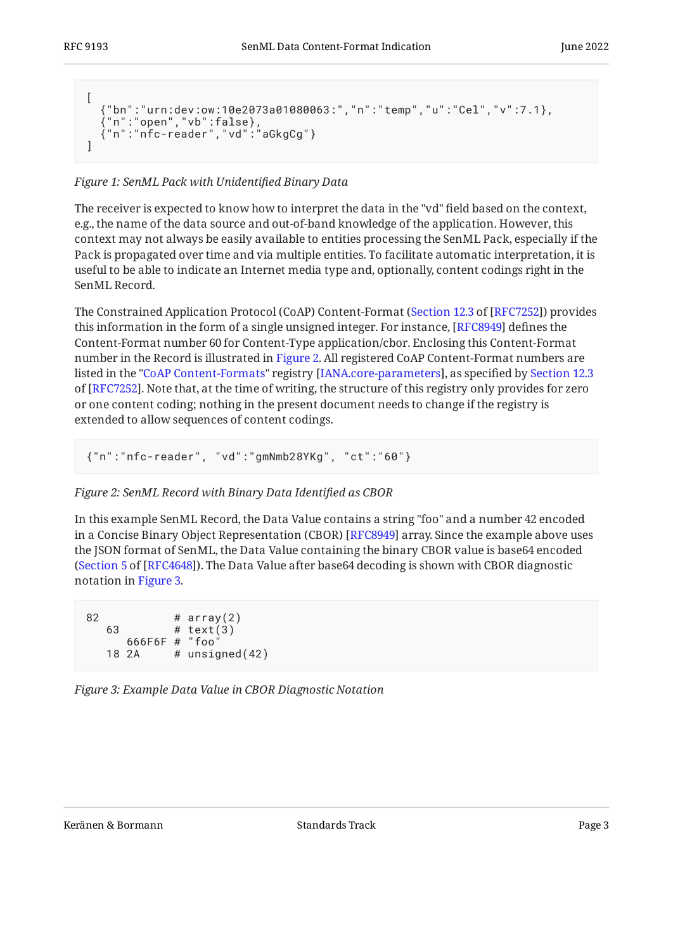```
\sqrt{2} {"bn":"urn:dev:ow:10e2073a01080063:","n":"temp","u":"Cel","v":7.1},
 {"n":"open","vb":false},
 {"n":"nfc-reader","vd":"aGkgCg"}
]
```
#### *[Figure 1:](#page-2-0) [SenML Pack with Unidenti](#page-1-2)fied Binary Data*

The receiver is expected to know how to interpret the data in the "vd" field based on the context, e.g., the name of the data source and out-of-band knowledge of the application. However, this context may not always be easily available to entities processing the SenML Pack, especially if the Pack is propagated over time and via multiple entities. To facilitate automatic interpretation, it is useful to be able to indicate an Internet media type and, optionally, content codings right in the SenML Record.

The Constrained Application Protocol (CoAP) Content-Format ([Section 12.3](https://www.rfc-editor.org/rfc/rfc7252#section-12.3) of [\[RFC7252\]](#page-8-2)) provides this information in the form of a single unsigned integer. For instance, [RFC8949] defines the Content-Format number 60 for Content-Type application/cbor. Enclosing this Content-Format number in the Record is illustrated in [Figure 2.](#page-2-1) All registered CoAP Content-Format numbers are listed in the "[CoAP Content-Formats"](https://www.iana.org/assignments/core-parameters#content-formats) registry [\[IANA.core-parameters](#page-7-4)], as specified by [Section 12.3](https://www.rfc-editor.org/rfc/rfc7252#section-12.3) of [[RFC7252\]](#page-8-2). Note that, at the time of writing, the structure of this registry only provides for zero or one content coding; nothing in the present document needs to change if the registry is extended to allow sequences of content codings.

```
{"n":"nfc-reader", "vd":"gmNmb28YKg", "ct":"60"}
```
#### *[Figure 2: SenML Record with Binary Data Identi](#page-2-1)fied as CBOR*

In this example SenML Record, the Data Value contains a string "foo" and a number 42 encoded in a Concise Binary Object Representation (CBOR) [RFC8949] array. Since the example above uses the JSON format of SenML, the Data Value containing the binary CBOR value is base64 encoded ([Section 5](https://www.rfc-editor.org/rfc/rfc4648#section-5) of [\[RFC4648](#page-8-4)]). The Data Value after base64 decoding is shown with CBOR diagnostic notation in [Figure 3.](#page-2-2)

<span id="page-2-2"></span> $82$  # array(2) 63 # text(3) 666F6F # "foo" 18 2A  $#$  unsigned $(42)$ 

*[Figure 3: Example Data Value in CBOR Diagnostic Notation](#page-2-2)*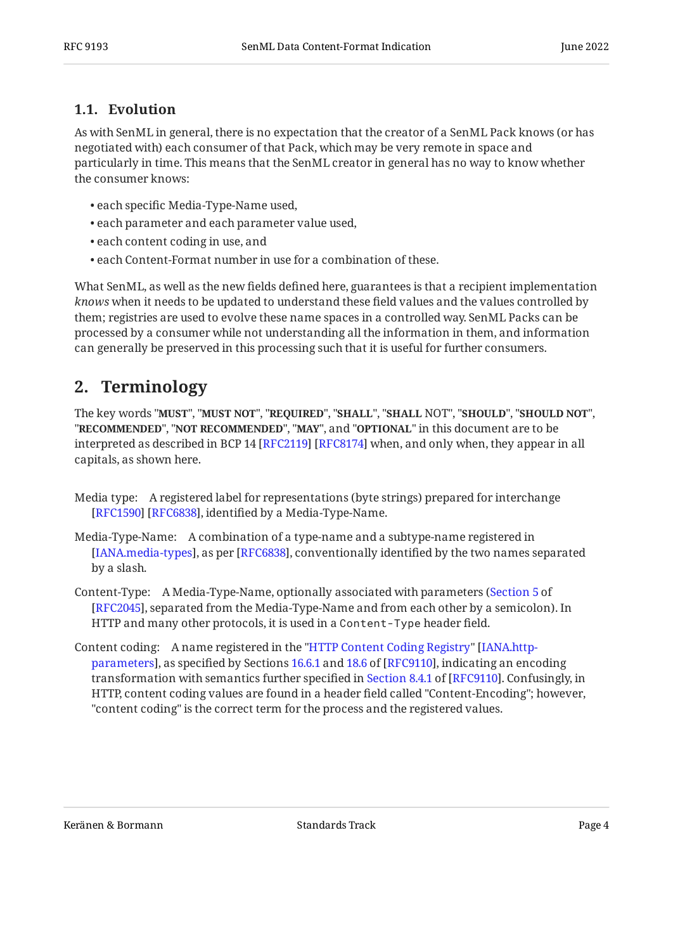#### <span id="page-3-0"></span>**[1.1. Evolution](#page-3-0)**

As with SenML in general, there is no expectation that the creator of a SenML Pack knows (or has negotiated with) each consumer of that Pack, which may be very remote in space and particularly in time. This means that the SenML creator in general has no way to know whether the consumer knows:

- each specific Media-Type-Name used,
- each parameter and each parameter value used, •
- each content coding in use, and
- each Content-Format number in use for a combination of these. •

What SenML, as well as the new fields defined here, guarantees is that a recipient implementation *knows* when it needs to be updated to understand these field values and the values controlled by them; registries are used to evolve these name spaces in a controlled way. SenML Packs can be processed by a consumer while not understanding all the information in them, and information can generally be preserved in this processing such that it is useful for further consumers.

# <span id="page-3-1"></span>**[2. Terminology](#page-3-1)**

The key words "MUST", "MUST NOT", "REQUIRED", "SHALL", "SHALL NOT", "SHOULD", "SHOULD NOT", "**RECOMMENDED", "NOT RECOMMENDED", "MAY",** and "OPTIONAL" in this document are to be interpreted as described in BCP 14 [RFC2119] [RFC8174] when, and only when, they appear in all capitals, as shown here.

- Media type: A registered label for representations (byte strings) prepared for interchange [[RFC1590\]](#page-8-7) [RFC6838], identified by a Media-Type-Name.
- Media-Type-Name: A combination of a type-name and a subtype-name registered in [[IANA.media-types\]](#page-7-5), as per [RFC6838], conventionally identified by the two names separated by a slash.
- Content-Type: A Media-Type-Name, optionally associated with parameters ( [Section 5](https://www.rfc-editor.org/rfc/rfc2045#section-5) of [[RFC2045\]](#page-7-6), separated from the Media-Type-Name and from each other by a semicolon). In HTTP and many other protocols, it is used in a Content-Type header field.
- Content coding: A name registered in the ["HTTP Content Coding Registry](https://www.iana.org/assignments/http-parameters#content-coding)" [\[IANA.http-](#page-7-7)parameters], as specified by Sections [16.6.1](https://www.rfc-editor.org/rfc/rfc9110#section-16.6.1) and [18.6](https://www.rfc-editor.org/rfc/rfc9110#section-18.6) of [RFC9110], indicating an encoding transformationwith semantics further specified in Section 8.4.1 of [RFC9110]. Confusingly, in HTTP, content coding values are found in a header field called "Content-Encoding"; however, "content coding" is the correct term for the process and the registered values.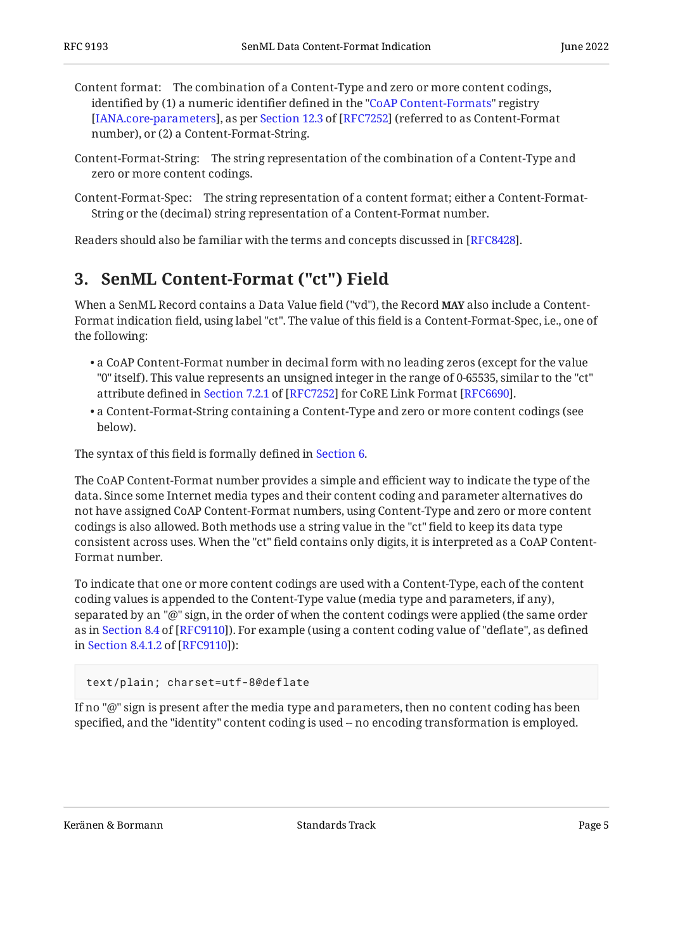Content format: The combination of a Content-Type and zero or more content codings, identified by (1) a numeric identifier defined in the ["CoAP Content-Formats"](https://www.iana.org/assignments/core-parameters#content-formats) registry [IANA.core-parameters],as per Section 12.3 of [RFC7252] (referred to as Content-Format number), or (2) a Content-Format-String.

- Content-Format-String: The string representation of the combination of a Content-Type and zero or more content codings.
- Content-Format-Spec: The string representation of a content format; either a Content-Format-String or the (decimal) string representation of a Content-Format number.

<span id="page-4-0"></span>Readers should also be familiar with the terms and concepts discussed in [RFC8428].

# **[3. SenML Content-Format \("ct"\) Field](#page-4-0)**

When a SenML Record contains a Data Value field ("vd"), the Record **MAY** also include a Content-Format indication field, using label "ct". The value of this field is a Content-Format-Spec, i.e., one of the following:

- $\bullet$  a CoAP Content-Format number in decimal form with no leading zeros (except for the value "0" itself). This value represents an unsigned integer in the range of 0-65535, similar to the "ct" attributedefined in Section 7.2.1 of [RFC7252] for CoRE Link Format [RFC6690].
- $\bullet$  a Content-Format-String containing a Content-Type and zero or more content codings (see below).

The syntax of this field is formally defined in [Section 6.](#page-5-2)

The CoAP Content-Format number provides a simple and efficient way to indicate the type of the data. Since some Internet media types and their content coding and parameter alternatives do not have assigned CoAP Content-Format numbers, using Content-Type and zero or more content codings is also allowed. Both methods use a string value in the "ct" field to keep its data type consistent across uses. When the "ct" field contains only digits, it is interpreted as a CoAP Content-Format number.

To indicate that one or more content codings are used with a Content-Type, each of the content coding values is appended to the Content-Type value (media type and parameters, if any), separated by an "@" sign, in the order of when the content codings were applied (the same order asin Section 8.4 of [RFC9110]). For example (using a content coding value of "deflate", as defined inSection 8.4.1.2 of [RFC9110]):

#### text/plain; charset=utf-8@deflate

If no "@" sign is present after the media type and parameters, then no content coding has been specified, and the "identity" content coding is used -- no encoding transformation is employed.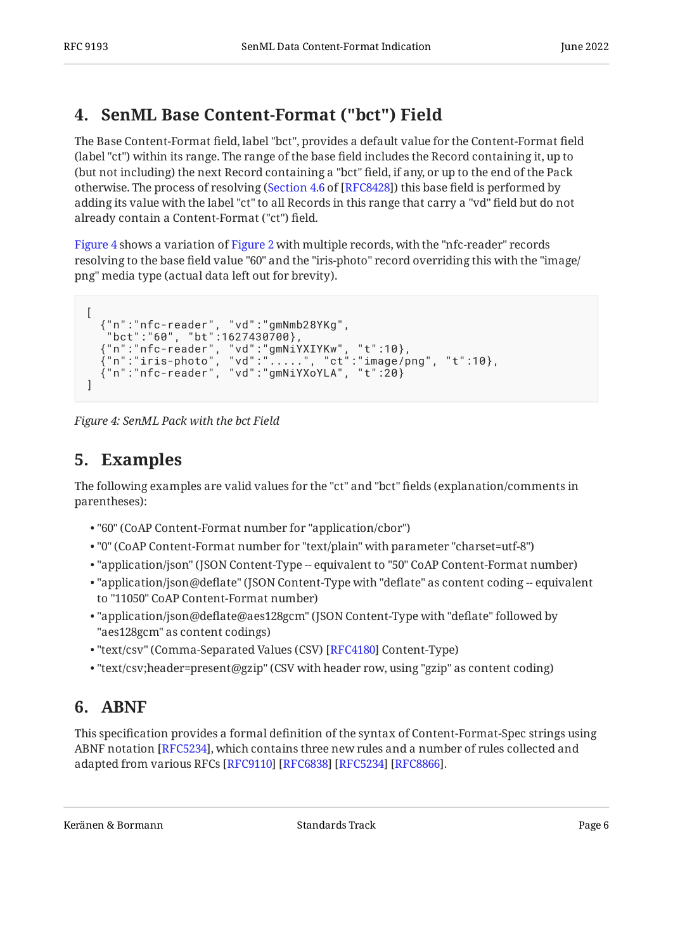# <span id="page-5-0"></span>**[4. SenML Base Content-Format \("bct"\) Field](#page-5-0)**

The Base Content-Format field, label "bct", provides a default value for the Content-Format field (label "ct") within its range. The range of the base field includes the Record containing it, up to (but not including) the next Record containing a "bct" field, if any, or up to the end of the Pack otherwise. The process of resolving ([Section 4.6](https://www.rfc-editor.org/rfc/rfc8428#section-4.6) of [\[RFC8428\]](#page-8-1)) this base field is performed by adding its value with the label "ct" to all Records in this range that carry a "vd" field but do not already contain a Content-Format ("ct") field.

[Figure 4](#page-5-3) shows a variation of [Figure 2](#page-2-1) with multiple records, with the "nfc-reader" records resolving to the base field value "60" and the "iris-photo" record overriding this with the "image/ png" media type (actual data left out for brevity).

```
\sqrt{2} {"n":"nfc-reader", "vd":"gmNmb28YKg",
 "bct":"60", "bt":1627430700},
 {"n":"nfc-reader", "vd":"gmNiYXIYKw", "t":10},
 {"n":"iris-photo", "vd":".....", "ct":"image/png", "t":10},
 {"n":"nfc-reader", "vd":"gmNiYXoYLA", "t":20}
]
```
<span id="page-5-1"></span>*[Figure 4: SenML Pack with the bct Field](#page-5-3)* 

# **[5. Examples](#page-5-1)**

The following examples are valid values for the "ct" and "bct" fields (explanation/comments in parentheses):

- "60" (CoAP Content-Format number for "application/cbor") •
- "0" (CoAP Content-Format number for "text/plain" with parameter "charset=utf-8") •
- "application/json" (JSON Content-Type -- equivalent to "50" CoAP Content-Format number)
- $\bullet$  "application/json@deflate" (JSON Content-Type with "deflate" as content coding -- equivalent to "11050" CoAP Content-Format number)
- "application/json@deflate@aes128gcm" (JSON Content-Type with "deflate" followed by "aes128gcm" as content codings)
- "text/csv" (Comma-Separated Values (CSV) [RFC4180] Content-Type)
- <span id="page-5-2"></span> $\bullet$  "text/csv;header=present@gzip" (CSV with header row, using "gzip" as content coding)

# **[6. ABNF](#page-5-2)**

This specification provides a formal definition of the syntax of Content-Format-Spec strings using ABNF notation [\[RFC5234\]](#page-8-12), which contains three new rules and a number of rules collected and adapted from various RFCs [[RFC9110\]](#page-8-9) [\[RFC6838](#page-8-8)] [[RFC5234\]](#page-8-12) [\[RFC8866](#page-8-13)].

<span id="page-5-4"></span>Keränen & Bormann Standards Track Page 6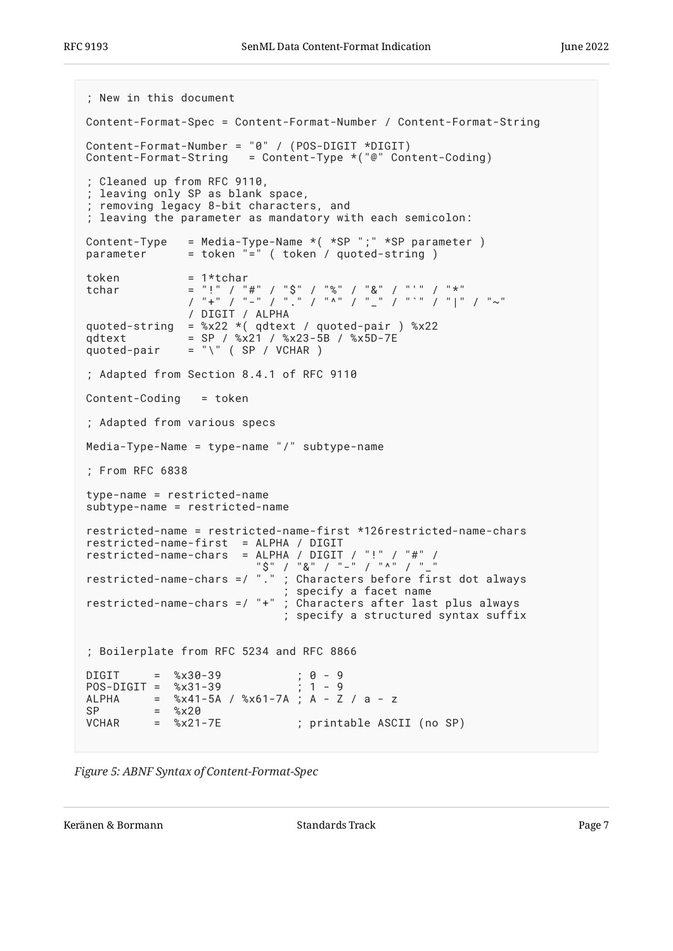```
; New in this document
Content-Format-Spec = Content-Format-Number / Content-Format-String
Content-Format-Number = "0" / (POS-DIGIT *DIGIT)
Content-Format-String = Content-Type *("@" Content-Coding)
; Cleaned up from RFC 9110,
; leaving only SP as blank space,
; removing legacy 8-bit characters, and
; leaving the parameter as mandatory with each semicolon:
Content-Type = Media-Type-Name *( *SP ";" *SP parameter )
parameter = token "=" ( token / quoted-string )
token = 1*tchar
tchar = "!" / "#" / "$" / "%" / "&" / "'" / "*"
 / "+" / "-" / "." / "^" / "_" / "`" / "|" / "~"
               / DIGIT / ALPHA
quoted-string = \frac{6}{22} *( qdtext / quoted-pair ) \frac{6}{22}qdtext = SP / %x21 / %x23-5B / %x5D-7E
quoted-pair = "\)' (SP / VCHAR )
; Adapted from Section 8.4.1 of RFC 9110
Content-Coding = token
; Adapted from various specs
Media-Type-Name = type-name "/" subtype-name
; From RFC 6838
type-name = restricted-name
subtype-name = restricted-name
restricted-name = restricted-name-first *126restricted-name-chars
restricted-name-first = ALPHA / DIGIT
restricted-name-chars = ALPHA / DIGIT / "!" / "#" /
"$" / "&" / "-" / "^" / "_"
restricted-name-chars =/ "." ; Characters before first dot always
 ; specify a facet name
restricted-name-chars =/ "+" ; Characters after last plus always
                             ; specify a structured syntax suffix
; Boilerplate from RFC 5234 and RFC 8866
DIGIT = %x30-39 ; 0 - 9<br>POS-DIGIT = %x31-39 ; 1 - 9
POS-DIGIT = %x31-39ALPHA = %x41-5A / %x61-7A ; A - Z / a - z
SP = %x20<br>VCHAR = %x21-
        = %x21-7E ; printable ASCII (no SP)
```


Keränen & Bormann Standards Track Page 7 (Page 7  $\mu$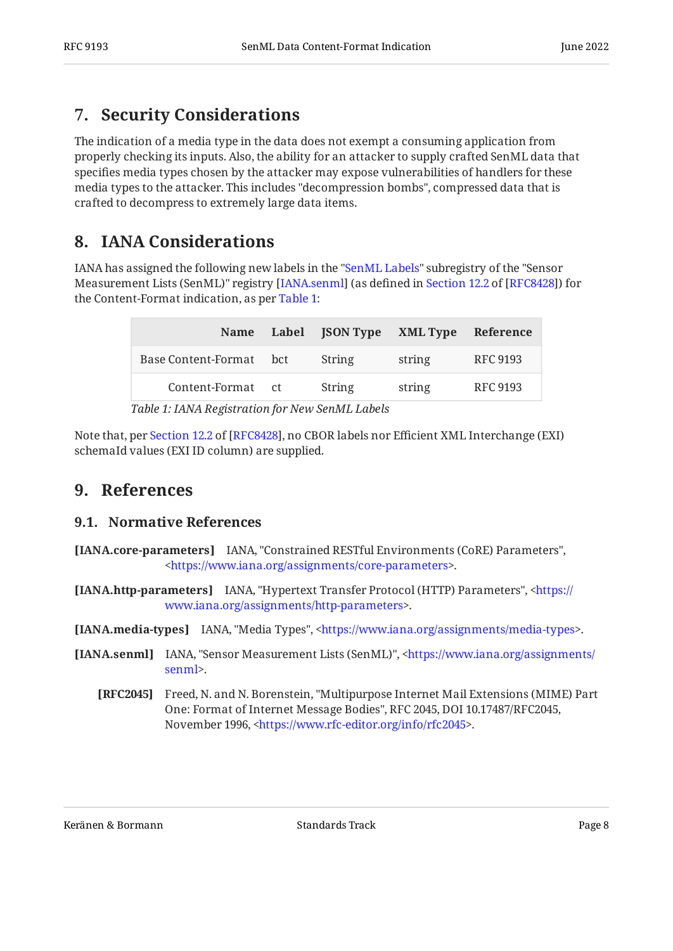## <span id="page-7-0"></span>**[7. Security Considerations](#page-7-0)**

The indication of a media type in the data does not exempt a consuming application from properly checking its inputs. Also, the ability for an attacker to supply crafted SenML data that specifies media types chosen by the attacker may expose vulnerabilities of handlers for these media types to the attacker. This includes "decompression bombs", compressed data that is crafted to decompress to extremely large data items.

### <span id="page-7-1"></span>**[8. IANA Considerations](#page-7-1)**

IANA has assigned the following new labels in the ["SenML Labels](https://www.iana.org/assignments/senml#senml-labels)" subregistry of the "Sensor MeasurementLists (SenML)" registry [IANA.senml] (as defined in Section 12.2 of [RFC8428]) for the Content-Format indication, as per [Table 1:](#page-7-9)

<span id="page-7-10"></span><span id="page-7-9"></span>

| <b>Name</b>             | Label JSON Type XML Type |        | Reference       |
|-------------------------|--------------------------|--------|-----------------|
| Base Content-Format bct | String                   | string | <b>RFC 9193</b> |
| Content-Format ct       | String                   | string | <b>RFC 9193</b> |
|                         |                          |        |                 |

*[Table 1:](#page-7-10) [IANA Registration for New SenML Labels](#page-7-9)* 

<span id="page-7-2"></span>Notethat, per Section 12.2 of [RFC8428], no CBOR labels nor Efficient XML Interchange (EXI) schemaId values (EXI ID column) are supplied.

#### <span id="page-7-3"></span>**[9. References](#page-7-2)**

#### **[9.1. Normative References](#page-7-3)**

- <span id="page-7-4"></span>**[IANA.core-parameters]** IANA, "Constrained RESTful Environments (CoRE) Parameters", . [<https://www.iana.org/assignments/core-parameters](https://www.iana.org/assignments/core-parameters)>
- <span id="page-7-7"></span>**[IANA.http-parameters]** IANA, "Hypertext Transfer Protocol (HTTP) Parameters", [<https://](https://www.iana.org/assignments/http-parameters) . [www.iana.org/assignments/http-parameters>](https://www.iana.org/assignments/http-parameters)

<span id="page-7-5"></span>**[IANA.media-types]** IANA, "Media Types", <https://www.iana.org/assignments/media-types>.

- <span id="page-7-8"></span><span id="page-7-6"></span>**[IANA.senml]** IANA, "Sensor Measurement Lists (SenML)", [<https://www.iana.org/assignments/](https://www.iana.org/assignments/senml) . [senml](https://www.iana.org/assignments/senml)>
	- **[RFC2045]** Freed, N. and N. Borenstein, "Multipurpose Internet Mail Extensions (MIME) Part One: Format of Internet Message Bodies", RFC 2045, DOI 10.17487/RFC2045, November 1996, <https://www.rfc-editor.org/info/rfc2045>.

Keränen & Bormann Standards Track Page 8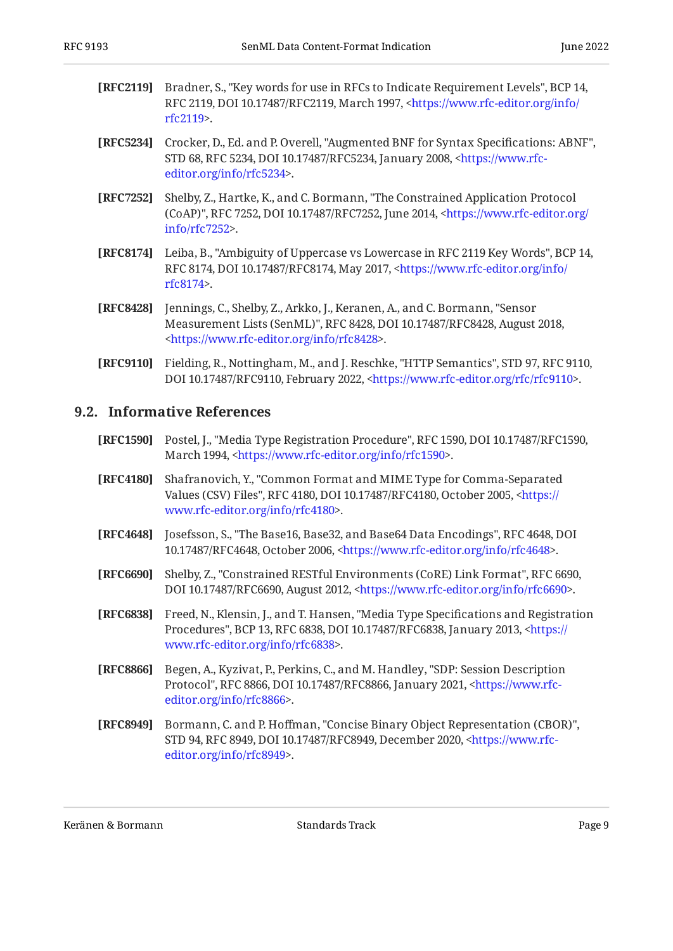- <span id="page-8-5"></span>**[RFC2119]** Bradner, S., "Key words for use in RFCs to Indicate Requirement Levels", BCP 14, RFC 2119, DOI 10.17487/RFC2119, March 1997, [<https://www.rfc-editor.org/info/](https://www.rfc-editor.org/info/rfc2119) . [rfc2119](https://www.rfc-editor.org/info/rfc2119)>
- <span id="page-8-12"></span>**[RFC5234]** Crocker, D., Ed. and P. Overell, "Augmented BNF for Syntax Specifications: ABNF", STD 68, RFC 5234, DOI 10.17487/RFC5234, January 2008, <[https://www.rfc-](https://www.rfc-editor.org/info/rfc5234). [editor.org/info/rfc5234](https://www.rfc-editor.org/info/rfc5234)>
- <span id="page-8-2"></span>**[RFC7252]** Shelby, Z., Hartke, K., and C. Bormann, "The Constrained Application Protocol (CoAP)", RFC 7252, DOI 10.17487/RFC7252, June 2014, [<https://www.rfc-editor.org/](https://www.rfc-editor.org/info/rfc7252) . [info/rfc7252>](https://www.rfc-editor.org/info/rfc7252)
- <span id="page-8-6"></span>**[RFC8174]** Leiba, B., "Ambiguity of Uppercase vs Lowercase in RFC 2119 Key Words", BCP 14, RFC 8174, DOI 10.17487/RFC8174, May 2017, <[https://www.rfc-editor.org/info/](https://www.rfc-editor.org/info/rfc8174) . [rfc8174](https://www.rfc-editor.org/info/rfc8174)>
- <span id="page-8-1"></span>**[RFC8428]** Jennings, C., Shelby, Z., Arkko, J., Keranen, A., and C. Bormann, "Sensor Measurement Lists (SenML)", RFC 8428, DOI 10.17487/RFC8428, August 2018, . [<https://www.rfc-editor.org/info/rfc8428](https://www.rfc-editor.org/info/rfc8428)>
- <span id="page-8-9"></span>**[RFC9110]** Fielding, R., Nottingham, M., and J. Reschke, "HTTP Semantics", STD 97, RFC 9110, DOI 10.17487/RFC9110, February 2022, <https://www.rfc-editor.org/rfc/rfc9110>.

#### <span id="page-8-0"></span>**[9.2. Informative References](#page-8-0)**

- <span id="page-8-7"></span>**[RFC1590]** Postel, J., "Media Type Registration Procedure", RFC 1590, DOI 10.17487/RFC1590, March 1994, <https://www.rfc-editor.org/info/rfc1590>.
- <span id="page-8-11"></span>**[RFC4180]** , Shafranovich, Y. "Common Format and MIME Type for Comma-Separated Values (CSV) Files", RFC 4180, DOI 10.17487/RFC4180, October 2005, <[https://](https://www.rfc-editor.org/info/rfc4180) . [www.rfc-editor.org/info/rfc4180>](https://www.rfc-editor.org/info/rfc4180)
- <span id="page-8-4"></span>**[RFC4648]** Josefsson, S., "The Base16, Base32, and Base64 Data Encodings", RFC 4648, DOI 10.17487/RFC4648, October 2006, <https://www.rfc-editor.org/info/rfc4648>.
- <span id="page-8-10"></span>**[RFC6690]** Shelby, Z., "Constrained RESTful Environments (CoRE) Link Format", RFC 6690, DOI 10.17487/RFC6690, August 2012, [<https://www.rfc-editor.org/info/rfc6690](https://www.rfc-editor.org/info/rfc6690)>.
- <span id="page-8-8"></span>**[RFC6838]** Freed, N., Klensin, J., and T. Hansen, "Media Type Specifications and Registration Procedures", BCP 13, RFC 6838, DOI 10.17487/RFC6838, January 2013, [<https://](https://www.rfc-editor.org/info/rfc6838) . [www.rfc-editor.org/info/rfc6838>](https://www.rfc-editor.org/info/rfc6838)
- <span id="page-8-13"></span>**[RFC8866]** Begen, A., Kyzivat, P., Perkins, C., and M. Handley, "SDP: Session Description Protocol", RFC 8866, DOI 10.17487/RFC8866, January 2021, [<https://www.rfc-](https://www.rfc-editor.org/info/rfc8866). [editor.org/info/rfc8866](https://www.rfc-editor.org/info/rfc8866)>
- <span id="page-8-3"></span>**[RFC8949]** Bormann, C. and P. Hoffman, "Concise Binary Object Representation (CBOR)", STD 94, RFC 8949, DOI 10.17487/RFC8949, December 2020, [<https://www.rfc-](https://www.rfc-editor.org/info/rfc8949). [editor.org/info/rfc8949](https://www.rfc-editor.org/info/rfc8949)>

Keränen & Bormann Standards Track Page 9